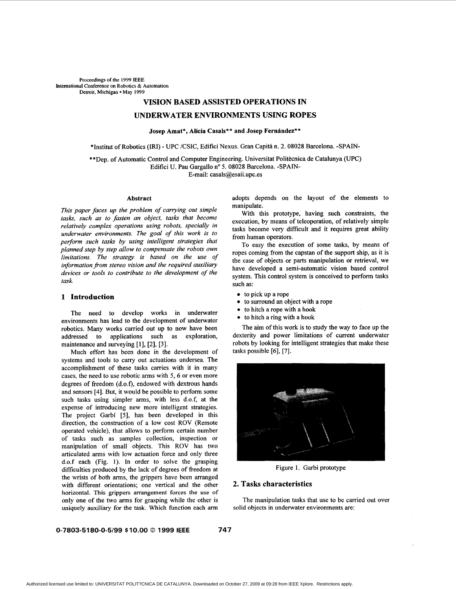**Proceedings of the 1999 EEE International Conference on Robotics** & **Automation**  Detroit, Michigan · May 1999

# **VISION BASED ASSISTED OPERATIONS IN**

# **UNDERWATER ENVIRONMENTS USING ROPES**

Josep Amat\*, Alícia Casals\*\* and Josep Fernández\*\*

\*Institut of Robotics **(IN)** - UPC /CSIC, Edifici Nexus. Gran Capita n. **2. 08028** Barcelona. -SPAIN-

\* \*Dep. of Automatic Control and Computer Engineering. Universitat Politecnica de Catalunya (UPC) Edifici U. Pau Gargallo nº 5. 08028 Barcelona. -SPAIN-

E-mail: casals@esaii.upc.es

#### **Abstract**

*This paper faces up the problem of carrying out simple tasks, such as to fasten an object, tasks that become relatively complex operations using robots, specially in underwater environments. The goal of this work is to perform such tasks by using intelligent strategies that planned step by step allow to compensate the robots own limitations. The strategy is based on the use of information fom stereo vision and the required auxiliary devices or tools to contribute to the development of the task.* 

## **1 Introduction**

The need to develop works in underwater environments has lead to the development of underwater robotics. Many works carried out up to now have been addressed to applications such as exploration, maintenance and surveying **[l], [2], [3].** 

Much effort has been done in the development of systems and tools to carry out actuations undersea. The accomplishment of these tasks carries with it in many cases, the need to use robotic arms with 5, **6** or even more degrees of freedom (d.o.f), endowed with dextrous hands and sensors **[4].** But, it would be possible to perform some such tasks using simpler arms, with less d.o.f, at the expense of introducing new more intelligent strategies. The project Garbi *[5],* has been developed in this direction, the construction of a low cost ROV (Remote operated vehicle), that allows to perform certain number of tasks such as samples collection, inspection or manipulation of small objects. This ROV has two articulated arms with low actuation force and only three d.0.f each (Fig. **1). In** order to solve the grasping difficulties produced by the lack of degrees of freedom at the wrists of both arms, the grippers have been arranged with different orientations; one vertical and the other horizontal. This grippers arrangement forces the use of only one of the two arms for grasping while the other is uniquely auxiliary for the task. Which function each **arm**  adopts depends on the layout of the elements to manipulate.

With this prototype, having such constraints, the execution, by means of teleoperation, of relatively simple tasks become very difficult and it requires great ability from human operators.

To easy the execution of some tasks, by means of ropes coming from the capstan of the support ship, as it is the case of objects or parts manipulation or retrieval, we have developed a semi-automatic vision based control system. This control system is conceived to perform tasks such as:

- $\bullet$  to pick up a rope
- to surround **an** object with a rope
- to hitch a rope with a hook
- $\bullet$  to hitch a ring with a hook

The aim of this work is to study the way to face up the dexterity and power limitations of current underwater robots by looking for intelligent strategies that make these tasks possible **[6], [7].** 



Figure **1.** Garbi prototype

### **2. Tasks characteristics**

The manipulation tasks that use to be carried out over solid objects in underwater environments are:

### **0-7803-51 80-0-5/99 \$10.00** *0* **1999 IEEE 747**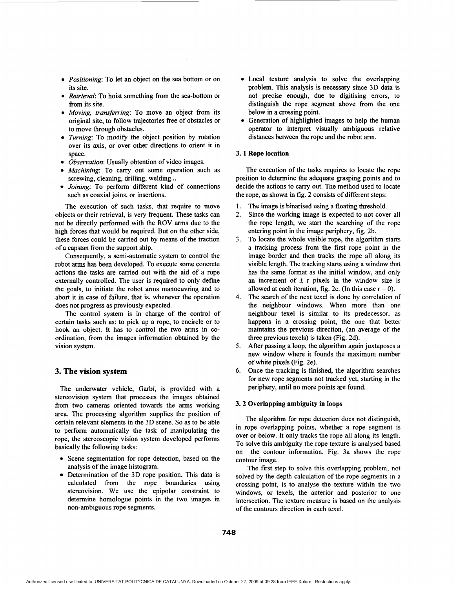- *0 Positioning:* To let an object on the sea bottom or on its site.
- *0 Retrieval:* To hoist something from the sea-bottom or from its site.
- *0 Moving, transferring:* To move an object from its original site, to follow trajectories free of obstacles or to move through obstacles.
- *Turning*: To modify the object position by rotation over its axis, or over other directions to orient it in space.
- *Observation:* Usually obtention of video images.
- *Machining*: To carry out some operation such as screwing, cleaning, drilling, welding...
- *Joining:* To perform different kind of connections such as coaxial joins, or insertions.

The execution of such tasks, that require to move objects or their retrieval, is very frequent. These tasks can not be directly performed with the ROV arms due to the high forces that would be required. But on the other side, these forces could be carried out by means of the traction of a capstan from the support ship.

Consequently, a semi-automatic system to control the robot arms has been developed. To execute some concrete actions the tasks are carried out with the aid of a rope externally controlled. The user is required to only define the goals, to initiate the robot arms manoeuvring and to abort it in case of failure, that is, whenever the operation does not progress as previously expected.

The control system is in charge of the control of certain tasks such **as:** to pick up a rope, to encircle or to hook an object. It has to control the two arms in coordination, from the images information obtained by the vision system.

### **3. The vision system**

The underwater vehicle, Garbi, is provided with a stereovision system that processes the images obtained from two cameras oriented towards the arms working area. The processing algorithm supplies the position of certain relevant elements in the 3D scene. So as to be able to perform automatically the task of manipulating the rope, the stereoscopic vision system developed performs basically the following tasks:

- *0* Scene segmentation for rope detection, based on the analysis of the image histogram.
- Determination of the 3D rope position. This data is calculated from the rope boundaries using stereovision. We use the epipolar constraint to determine homologue points in the two images in non-ambiguous rope segments.
- *0* Local texture analysis to solve the overlapping problem. This analysis is necessary since 3D data is not precise enough, due to digitising errors, to distinguish the rope segment above from the one below in a crossing point.
- *0* Generation of highlighted images to help the human operator to interpret visually ambiguous relative distances between the rope and the robot arm.

### **3. 1 Rope location**

The execution of the tasks requires to locate the rope position to determine the adequate grasping points and to decide the actions to carry out. The method used to locate the rope, as shown in [fig. 2](#page-2-0) consists of different steps:

- **1.** The image is binarised using a floating threshold.
- 2. Since the working image is expected to not cover all the rope length, we start the searching of the rope entering point in the image periphery, fig. 2b.
- To locate the whole visible rope, the algorithm starts a tracking process from the first rope point in the image border and then tracks the rope all along its visible length. The tracking starts using a window that has the same format as the initial window, and only an increment of  $\pm$  r pixels in the window size is allowed at each iteration, fig. 2c. (In this case  $r = 0$ ). **3.**
- The search of the next texel is done by correlation of the neighbour windows. When more than one neighbour texel is similar to its predecessor, as happens in a crossing point, the one that better maintains the previous direction, (an average of the three previous texels) is taken (Fig. 2d). **4.**
- After passing a loop, the algorithm again juxtaposes a new window where it founds the maximum number of white pixels (Fig. 2e). *5.*
- Once the tracking is finished, the algorithm searches for new rope segments not tracked yet, starting in the periphery, until no more points are found. *6.*

#### **3.2 Overlapping ambiguity in loops**

The algorithm for rope detection does not distinguish, in rope overlapping points, whether a rope segment is over or below. It only tracks the rope all along its length. To solve this ambiguity the rope texture is analysed based on the contour information. Fig. 3a shows the rope contour image.

The first step to solve this overlapping problem, not solved by the depth calculation of the rope segments in a crossing point, is to analyse the texture within the two windows, or texels, the anterior and posterior to one intersection. The texture measure is based on the analysis of the contours direction in each texel.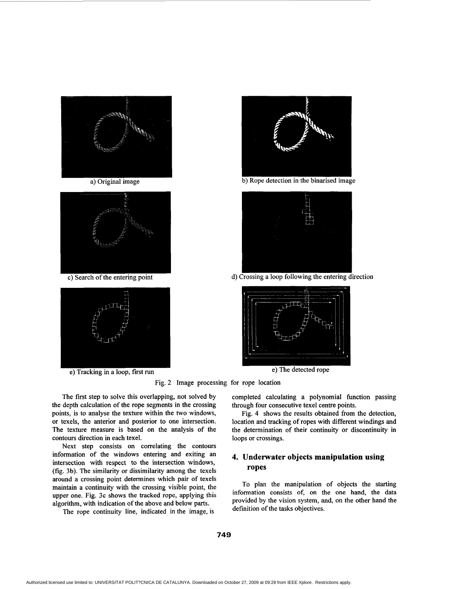<span id="page-2-0"></span>

a) Original image



c) Search of the entering point



e) Tracking in a loop, first run



b) Rope detection in the binarised image



d) Crossing a loop following the entering direction



e) The detected rope

Fig. 2 Image processing for rope location

The first step to solve this overlapping, not solved by the depth calculation of the rope segments in the crossing points, is to analyse the texture within the two windows, or texels, the anterior and posterior to one intersection. The texture measure is based on the analysis of the contours direction in each texel.

Next step consists on correlating the contours information of the windows entering and exiting an intersection with respect to the intersection windows, (fig. 3b). The similarity or dissimilarity among the texels around a crossing point determines which pair of texels maintain a continuity with the crossing visible point, the upper one. Fig. 3c shows the tracked rope, applying this algorithm, with indication of the above and below parts.

The rope continuity line, indicated in the image, is

completed calculating a polynomial function passing through four consecutive texel centre points.

[Fig.](#page-3-0) **4** shows the results obtained from the detection, location and tracking of ropes with different windings and the determination of their continuity or discontinuity in loops or crossings.

# **4. Underwater objects manipulation using ropes**

To plan the manipulation of objects the starting information consists of, on the one hand, the data provided by the vision system, and, on the other hand the definition of the tasks objectives.

**749**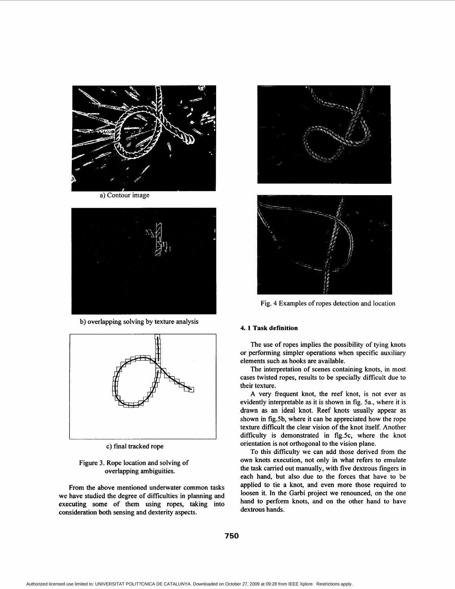<span id="page-3-0"></span>

a) Contour image



b) overlapping solving by texture analysis



c) final tracked rope

# Figure 3. Rope location and solving of overlapping ambiguities.

From the above mentioned underwater common tasks we have studied the degree of difficulties in planning and executing some of them using ropes, taking into consideration both sensing and dexterity aspects.





Fig. **4** Examples of ropes detection and location

### **4. 1 Task definition**

The use of ropes implies the possibility of tying knots or performing simpler operations when specific auxiliary elements such as hooks are available.

The interpretation of scenes containing knots, in most cases twisted ropes, results to be specially difficult due to their texture.

**A** very frequent knot, the reef knot, is not ever as evidently interpretable as it is shown in fig. 5a., where it is drawn as an ideal knot. Reef knots usually appear as shown in fig.5b, where it can be appreciated how the rope texture difficult the clear vision of the knot itself. Another difficulty is demonstrated in fig.5c, where the knot orientation is not orthogonal to the vision plane.

To this difficulty we can add those derived from the own knots execution, not only in what refers to emulate the task carried out manually, with five dextrous fingers in each hand, but also due to the forces that have to be applied to tie a knot, and even more those required to loosen it. In the Garbi project we renounced, on the one hand to perform knots, and on the other hand to have dextrous hands.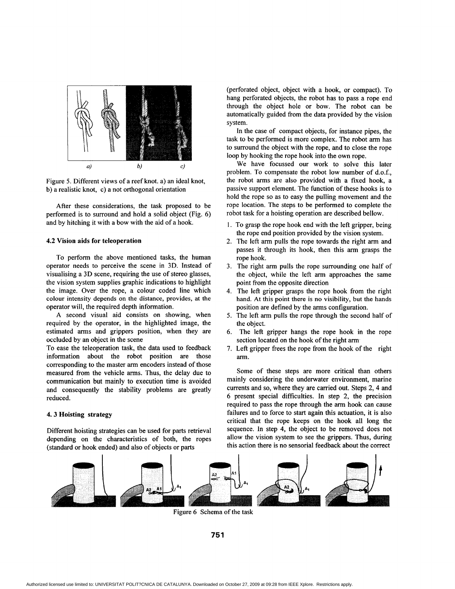

Figure *5.* Different views of a reef knot. a) an ideal knot, b) a realistic knot, c) a not orthogonal orientation

After these considerations, the task proposed to be performed is to surround and hold a solid object (Fig. 6) and by hitching it with a bow with the aid of a hook.

### **4.2 Vision aids for teleoperation**

To perform the above mentioned tasks, the human operator needs to perceive the scene in 3D. Instead of visualising a 3D scene, requiring the use of stereo glasses, the vision system supplies graphic indications to highlight the image. Over the rope, a colour coded line which colour intensity depends on the distance, provides, at the operator will, the required depth information.

A second visual aid consists on showing, when required by the operator, in the highlighted image, the estimated arms and grippers position, when they are occluded by an object in the scene

To ease the teleoperation task, the data used to feedback information about the robot position are those corresponding to the master arm encoders instead of those measured from the vehicle arms. Thus, the delay due to communication but mainly to execution time is avoided and consequently the stability problems are greatly reduced.

# **4.3 Hoisting strategy**

Different hoisting strategies can be used for parts retrieval depending on the characteristics of both, the ropes (standard or hook ended) and also of objects or parts

(perforated object, object with a hook, or compact). To hang perforated objects, the robot has to pass a rope end through the object hole or bow. The robot can be automatically guided from the data provided by the vision system.

In the case of compact objects, for instance pipes, the task to be performed is more complex. The robot arm has to surround the object with the rope, and to close the rope loop by hooking the rope hook into the own rope.

We have focussed our work to solve this later problem. To compensate the robot low number of d.o.f., the robot arms are also provided with a fixed hook, a passive support element. The function of these hooks is to hold the rope so as to easy the pulling movement and the rope location. The steps to be performed to complete the robot task for a hoisting operation are described bellow.

- 1. To grasp the rope hook end with the left gripper, being the rope end position provided by the vision system.
- 2. The left arm pulls the rope towards the right arm and passes it through its hook, then this arm grasps the rope hook.
- 3. The right arm pulls the rope surrounding one half of the object, while the left arm approaches the same point from the opposite direction
- 4. The left gripper grasps the rope hook from the right hand. At this point there is no visibility, but the hands position are defined by the arms configuration.
- 5. The left arm pulls the rope through the second half of the object.
- The left gripper hangs the rope hook in the rope section located on the hook of the right arm
- 7. Left gripper frees the rope from the hook of the right arm.

Some of these steps are more critical than others mainly considering the underwater environment, marine currents and so, where they are carried out. Steps 2, 4 and 6 present special difficulties. In step 2, the precision required to pass the rope through the arm hook can cause failures and to force to start again this actuation, it is also critical that the rope keeps on the hook all long the sequence. In step 4, the object to be removed does not allow the vision system to see the grippers. Thus, during this action there is no sensorial feedback about the correct



Figure 6 Schema of the task